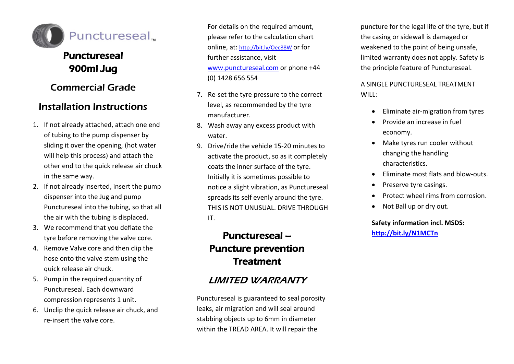

## Punctureseal 900ml Jug

## Commercial Grade

## Installation Instructions

- 1. If not already attached, attach one end of tubing to the pump dispenser by sliding it over the opening, (hot water will help this process) and attach the other end to the quick release air chuck in the same way.
- 2. If not already inserted, insert the pump dispenser into the Jug and pump Punctureseal into the tubing, so that all the air with the tubing is displaced.
- 3. We recommend that you deflate the tyre before removing the valve core.
- 4. Remove Valve core and then clip the hose onto the valve stem using the quick release air chuck.
- 5. Pump in the required quantity of Punctureseal. Each downward compression represents 1 unit.
- 6. Unclip the quick release air chuck, and re-insert the valve core.

For details on the required amount, please refer to the calculation chart online, at: <http://bit.ly/Oec88W> or for further assistance, visit [www.punctureseal.com](http://www.punctureseal.com/) or phone +44 (0) 1428 656 554

- 7. Re-set the tyre pressure to the correct level, as recommended by the tyre manufacturer.
- 8. Wash away any excess product with water.
- 9. Drive/ride the vehicle 15-20 minutes to activate the product, so as it completely coats the inner surface of the tyre. Initially it is sometimes possible to notice a slight vibration, as Punctureseal spreads its self evenly around the tyre. THIS IS NOT UNUSUAL. DRIVE THROUGH IT.

# Punctureseal – Puncture prevention **Treatment**

### LIMITED WARRANTY

Punctureseal is guaranteed to seal porosity leaks, air migration and will seal around stabbing objects up to 6mm in diameter within the TREAD AREA. It will repair the

puncture for the legal life of the tyre, but if the casing or sidewall is damaged or weakened to the point of being unsafe, limited warranty does not apply. Safety is the principle feature of Punctureseal.

A SINGLE PUNCTURESEAL TREATMENT WILL:

- Eliminate air-migration from tyres
- Provide an increase in fuel economy.
- Make tyres run cooler without changing the handling characteristics.
- Eliminate most flats and blow-outs.
- Preserve tyre casings.
- Protect wheel rims from corrosion.
- Not Ball up or dry out.

**Safety information incl. MSDS: <http://bit.ly/N1MCTn>**